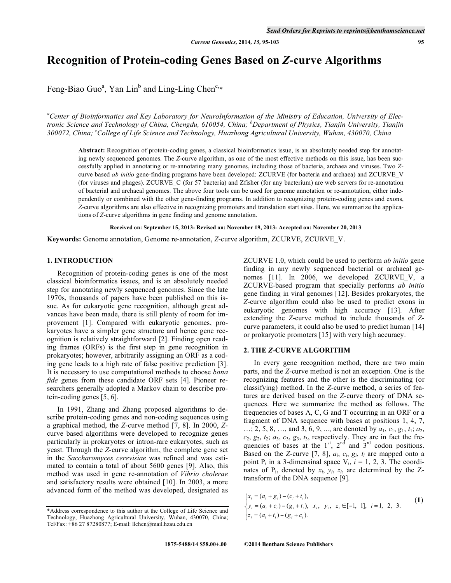# **Recognition of Protein-coding Genes Based on** *Z***-curve Algorithms**

Feng-Biao Guo<sup>a</sup>, Yan Lin<sup>b</sup> and Ling-Ling Chen<sup>c,\*</sup>

*a Center of Bioinformatics and Key Laboratory for NeuroInformation of the Ministry of Education, University of Electronic Science and Technology of China, Chengdu, 610054, China; <sup>b</sup> Department of Physics, Tianjin University, Tianjin*  300072, China; <sup>c</sup>College of Life Science and Technology, Huazhong Agricultural University, Wuhan, 430070, China

**Abstract:** Recognition of protein-coding genes, a classical bioinformatics issue, is an absolutely needed step for annotating newly sequenced genomes. The *Z*-curve algorithm, as one of the most effective methods on this issue, has been successfully applied in annotating or re-annotating many genomes, including those of bacteria, archaea and viruses. Two *Z*curve based *ab initio* gene-finding programs have been developed: ZCURVE (for bacteria and archaea) and ZCURVE\_V (for viruses and phages). ZCURVE C (for 57 bacteria) and Zfisher (for any bacterium) are web servers for re-annotation of bacterial and archaeal genomes. The above four tools can be used for genome annotation or re-annotation, either independently or combined with the other gene-finding programs. In addition to recognizing protein-coding genes and exons, *Z*-curve algorithms are also effective in recognizing promoters and translation start sites. Here, we summarize the applications of *Z*-curve algorithms in gene finding and genome annotation.

**Received on: September 15, 2013- Revised on: November 19, 2013- Accepted on: November 20, 2013**

**Keywords:** Genome annotation, Genome re-annotation, *Z*-curve algorithm, ZCURVE, ZCURVE\_V.

#### **1. INTRODUCTION**

 Recognition of protein-coding genes is one of the most classical bioinformatics issues, and is an absolutely needed step for annotating newly sequenced genomes. Since the late 1970s, thousands of papers have been published on this issue. As for eukaryotic gene recognition, although great advances have been made, there is still plenty of room for improvement [1]. Compared with eukaryotic genomes, prokaryotes have a simpler gene structure and hence gene recognition is relatively straightforward [2]. Finding open reading frames (ORFs) is the first step in gene recognition in prokaryotes; however, arbitrarily assigning an ORF as a coding gene leads to a high rate of false positive prediction [3]. It is necessary to use computational methods to choose *bona fide* genes from these candidate ORF sets [4]. Pioneer researchers generally adopted a Markov chain to describe protein-coding genes [5, 6].

 In 1991, Zhang and Zhang proposed algorithms to describe protein-coding genes and non-coding sequences using a graphical method, the *Z*-curve method [7, 8]. In 2000, *Z*curve based algorithms were developed to recognize genes particularly in prokaryotes or intron-rare eukaryotes, such as yeast. Through the *Z*-curve algorithm, the complete gene set in the *Saccharomyces cerevisiae* was refined and was estimated to contain a total of about 5600 genes [9]. Also, this method was used in gene re-annotation of *Vibrio cholerae* and satisfactory results were obtained [10]. In 2003, a more advanced form of the method was developed, designated as ZCURVE 1.0, which could be used to perform *ab initio* gene finding in any newly sequenced bacterial or archaeal genomes [11]. In 2006, we developed ZCURVE V, a ZCURVE-based program that specially performs *ab initio* gene finding in viral genomes [12]. Besides prokaryotes, the *Z*-curve algorithm could also be used to predict exons in eukaryotic genomes with high accuracy [13]. After extending the *Z*-curve method to include thousands of *Z*curve parameters, it could also be used to predict human [14] or prokaryotic promoters [15] with very high accuracy.

#### **2. THE** *Z***-CURVE ALGORITHM**

 In every gene recognition method, there are two main parts, and the *Z*-curve method is not an exception. One is the recognizing features and the other is the discriminating (or classifying) method. In the *Z*-curve method, a series of features are derived based on the *Z*-curve theory of DNA sequences. Here we summarize the method as follows. The frequencies of bases A, C, G and T occurring in an ORF or a fragment of DNA sequence with bases at positions 1, 4, 7, …; 2, 5, 8, …, and 3, 6, 9, ..., are denoted by *a*1, *c*1, *g*1, *t*1; *a*2,  $c_2$ ,  $g_2$ ,  $t_2$ ;  $a_3$ ,  $c_3$ ,  $g_3$ ,  $t_3$ , respectively. They are in fact the frequencies of bases at the  $1<sup>st</sup>$ ,  $2<sup>nd</sup>$  and  $3<sup>rd</sup>$  codon positions. Based on the *Z*-curve [7, 8],  $a_i$ ,  $c_i$ ,  $g_i$ ,  $t_i$  are mapped onto a point  $P_i$  in a 3-dimensinal space  $V_i$ ,  $i = 1, 2, 3$ . The coordinates of  $P_i$ , denoted by  $x_i$ ,  $y_i$ ,  $z_i$ , are determined by the  $Z$ transform of the DNA sequence [9].

$$
\begin{cases}\nx_i = (a_i + g_i) - (c_i + t_i), \\
y_i = (a_i + c_i) - (g_i + t_i), \\
z_i = (a_i + t_i) - (g_i + c_i).\n\end{cases}
$$
\n(1)  
\n(1)  
\n(2)

<sup>\*</sup>Address correspondence to this author at the College of Life Science and Technology, Huazhong Agricultural University, Wuhan, 430070, China; Tel/Fax: +86 27 87280877; E-mail: llchen@mail.hzau.edu.cn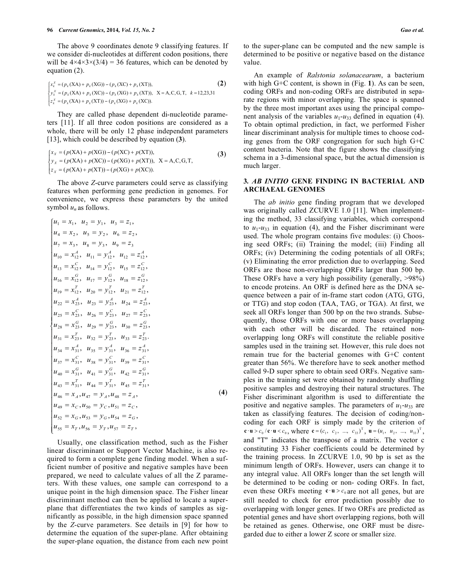The above 9 coordinates denote 9 classifying features. If we consider di-nucleotides at different codon positions, there will be  $4 \times 4 \times 3 \times (3/4) = 36$  features, which can be denoted by equation (2).

$$
\begin{cases}\nx_k^X = (p_k(\text{XA}) + p_k(\text{XG})) - (p_k(\text{XC}) + p_k(\text{XT})), & \text{(2)} \\
y_k^X = (p_k(\text{XA}) + p_k(\text{XC})) - (p_k(\text{XG}) + p_k(\text{XT})), & \text{X} = \text{A}, \text{C}, \text{G}, \text{T}, k = 12,23,31 \\
z_k^X = (p_k(\text{XA}) + p_k(\text{XT})) - (p_k(\text{XG}) + p_k(\text{XC})). & \n\end{cases}
$$

 They are called phase dependent di-nucleotide parameters [11]. If all three codon positions are considered as a whole, there will be only 12 phase independent parameters [13], which could be described by equation (**3**).

$$
\begin{cases}\nx_x = (p(\text{XA}) + p(\text{XG})) - (p(\text{XC}) + p(\text{XT})), \\
y_x = (p(\text{XA}) + p(\text{XC})) - (p(\text{XG}) + p(\text{XT})), \\
z_x = (p(\text{XA}) + p(\text{XT})) - (p(\text{XG}) + p(\text{XC})).\n\end{cases}
$$
\n(3)

 The above *Z*-curve parameters could serve as classifying features when performing gene prediction in genomes. For convenience, we express these parameters by the united symbol *un* as follows.

$$
\begin{cases}\nu_1 = x_1, u_2 = y_1, u_3 = z_1, \\
u_4 = x_2, u_5 = y_2, u_6 = z_2, \\
u_7 = x_3, u_8 = y_3, u_9 = z_3 \\
u_{10} = x_{12}^4, u_{11} = y_{12}^4, u_{12} = z_{12}^4, \\
u_{13} = x_{12}^C, u_{14} = y_{12}^C, u_{15} = z_{12}^C, \\
u_{16} = x_{12}^G, u_{17} = y_{12}^G, u_{18} = z_{12}^G, \\
u_{19} = x_{12}^T, u_{20} = y_{12}^T, u_{21} = z_{12}^T, \\
u_{22} = x_{23}^A, u_{23} = y_{23}^A, u_{24} = z_{23}^A, \\
u_{25} = x_{23}^C, u_{26} = y_{23}^C, u_{30} = z_{23}^C, \\
u_{31} = x_{23}^T, u_{32} = y_{23}^G, u_{30} = z_{23}^G, \\
u_{34} = x_{31}^4, u_{35} = y_{31}^4, u_{36} = z_{31}^4, \\
u_{34} = x_{31}^4, u_{35} = y_{31}^G, u_{36} = z_{31}^4, \\
u_{40} = x_{31}^G, u_{41} = y_{31}^G, u_{42} = z_{31}^G, \\
u_{40} = x_{31}^G, u_{41} = y_{31}^G, u_{42} = z_{31}^G, \\
u_{46} = x_{41}^G, u_{47} = y_{41}^G, u_{48} = z_{41}^T, \\
u_{47} = x_{41}^G, u_{48} = z_{41}^G, \\
u_{49} = x_{61}^G, u_{50} = y_{61}^G, u_{51} = z_{61}^G, \\
u_{52} = x_{61}^G, u_{53} = y_{61}^G, u_{54} = z_{52}^G, \\
u_{55} = x_{71}^G, u_{56} = y_{71}^G, u_{57} = z_{72}^G.\n\end{cases} (4
$$

 Usually, one classification method, such as the Fisher linear discriminant or Support Vector Machine, is also required to form a complete gene finding model. When a sufficient number of positive and negative samples have been prepared, we need to calculate values of all the Z parameters. With these values, one sample can correspond to a unique point in the high dimension space. The Fisher linear discriminant method can then be applied to locate a superplane that differentiates the two kinds of samples as significantly as possible, in the high dimension space spanned by the *Z*-curve parameters. See details in [9] for how to determine the equation of the super-plane. After obtaining the super-plane equation, the distance from each new point

to the super-plane can be computed and the new sample is determined to be positive or negative based on the distance value.

 An example of *Ralstonia solanacearum*, a bacterium with high G+C content, is shown in (Fig. **1**). As can be seen, coding ORFs and non-coding ORFs are distributed in separate regions with minor overlapping. The space is spanned by the three most important axes using the principal component analysis of the variables  $u_1$ - $u_3$  defined in equation (4). To obtain optimal prediction, in fact, we performed Fisher linear discriminant analysis for multiple times to choose coding genes from the ORF congregation for such high G+C content bacteria. Note that the figure shows the classifying schema in a 3-dimensional space, but the actual dimension is much larger.

## **3***. AB INITIO* **GENE FINDING IN BACTERIAL AND ARCHAEAL GENOMES**

 The *ab initio* gene finding program that we developed was originally called ZCURVE 1.0 [11]. When implementing the method, 33 classifying variables, which correspond to  $u_1$ - $u_{33}$  in equation (4), and the Fisher discriminant were used. The whole program contains five modules: (i) Choosing seed ORFs; (ii) Training the model; (iii) Finding all ORFs; (iv) Determining the coding potentials of all ORFs; (v) Eliminating the error prediction due to overlapping. Seed ORFs are those non-overlapping ORFs larger than 500 bp. These ORFs have a very high possibility (generally, >98%) to encode proteins. An ORF is defined here as the DNA sequence between a pair of in-frame start codon (ATG, GTG, or TTG) and stop codon (TAA, TAG, or TGA). At first, we seek all ORFs longer than 500 bp on the two strands. Subsequently, those ORFs with one or more bases overlapping with each other will be discarded. The retained nonoverlapping long ORFs will constitute the reliable positive samples used in the training set. However, this rule does not remain true for the bacterial genomes with G+C content greater than 56%. We therefore have to seek another method called 9-D super sphere to obtain seed ORFs. Negative samples in the training set were obtained by randomly shuffling positive samples and destroying their natural structures. The Fisher discriminant algorithm is used to differentiate the positive and negative samples. The parameters of  $u_1$ - $u_{33}$  are taken as classifying features. The decision of coding/noncoding for each ORF is simply made by the criterion of  $c \cdot u > c_0 / c \cdot u < c_0$ , where  $c = (c_1, c_2, ..., c_{33})^\text{T}$ ,  $u = (u_1, u_2, ..., u_{33})^\text{T}$ , and "T" indicates the transpose of a matrix. The vector c constituting 33 Fisher coefficients could be determined by the training process. In ZCURVE 1.0, 90 bp is set as the minimum length of ORFs. However, users can change it to any integral value. All ORFs longer than the set length will be determined to be coding or non- coding ORFs. In fact, even these ORFs meeting  $c \cdot u > c_0$  are not all genes, but are still needed to check for error prediction possibly due to overlapping with longer genes. If two ORFs are predicted as potential genes and have short overlapping regions, both will be retained as genes. Otherwise, one ORF must be disregarded due to either a lower Z score or smaller size.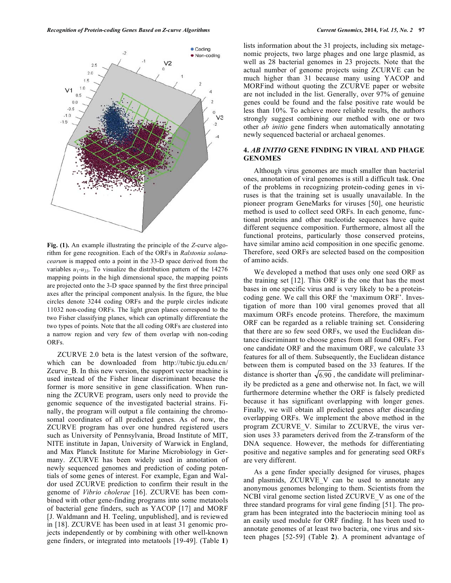

**Fig. (1).** An example illustrating the principle of the *Z*-curve algorithm for gene recognition. Each of the ORFs in *Ralstonia solanacearum* is mapped onto a point in the 33-D space derived from the variables  $u_1$ - $u_{33}$ . To visualize the distribution pattern of the 14276 mapping points in the high dimensional space, the mapping points are projected onto the 3-D space spanned by the first three principal axes after the principal component analysis. In the figure, the blue circles denote 3244 coding ORFs and the purple circles indicate 11032 non-coding ORFs. The light green planes correspond to the two Fisher classifying planes, which can optimally differentiate the two types of points. Note that the all coding ORFs are clustered into a narrow region and very few of them overlap with non-coding ORFs.

 ZCURVE 2.0 beta is the latest version of the software, which can be downloaded from http://tubic.tju.edu.cn/ Zcurve\_B. In this new version, the support vector machine is used instead of the Fisher linear discriminant because the former is more sensitive in gene classification. When running the ZCURVE program, users only need to provide the genomic sequence of the investigated bacterial strains. Finally, the program will output a file containing the chromosomal coordinates of all predicted genes. As of now, the ZCURVE program has over one hundred registered users such as University of Pennsylvania, Broad Institute of MIT, NITE institute in Japan, University of Warwick in England, and Max Planck Institute for Marine Microbiology in Germany. ZCURVE has been widely used in annotation of newly sequenced genomes and prediction of coding potentials of some genes of interest. For example, Egan and Waldor used ZCURVE prediction to confirm their result in the genome of *Vibrio cholerae* [16]. ZCURVE has been combined with other gene-finding programs into some metatools of bacterial gene finders, such as YACOP [17] and MORF [J. Waldmann and H. Teeling, unpublished], and is reviewed in [18]. ZCURVE has been used in at least 31 genomic projects independently or by combining with other well-known gene finders, or integrated into metatools [19-49]. (Table **1**)

lists information about the 31 projects, including six metagenomic projects, two large phages and one large plasmid, as well as 28 bacterial genomes in 23 projects. Note that the actual number of genome projects using ZCURVE can be much higher than 31 because many using YACOP and MORFind without quoting the ZCURVE paper or website are not included in the list. Generally, over 97% of genuine genes could be found and the false positive rate would be less than 10%. To achieve more reliable results, the authors strongly suggest combining our method with one or two other *ab initio* gene finders when automatically annotating newly sequenced bacterial or archaeal genomes.

#### **4.** *AB INITIO* **GENE FINDING IN VIRAL AND PHAGE GENOMES**

 Although virus genomes are much smaller than bacterial ones, annotation of viral genomes is still a difficult task. One of the problems in recognizing protein-coding genes in viruses is that the training set is usually unavailable. In the pioneer program GeneMarks for viruses [50], one heuristic method is used to collect seed ORFs. In each genome, functional proteins and other nucleotide sequences have quite different sequence composition. Furthermore, almost all the functional proteins, particularly those conserved proteins, have similar amino acid composition in one specific genome. Therefore, seed ORFs are selected based on the composition of amino acids.

 We developed a method that uses only one seed ORF as the training set [12]. This ORF is the one that has the most bases in one specific virus and is very likely to be a proteincoding gene. We call this ORF the 'maximum ORF'. Investigation of more than 100 viral genomes proved that all maximum ORFs encode proteins. Therefore, the maximum ORF can be regarded as a reliable training set. Considering that there are so few seed ORFs, we used the Euclidean distance discriminant to choose genes from all found ORFs. For one candidate ORF and the maximum ORF, we calculate 33 features for all of them. Subsequently, the Euclidean distance between them is computed based on the 33 features. If the distance is shorter than  $\sqrt{6.90}$ , the candidate will preliminarily be predicted as a gene and otherwise not. In fact, we will furthermore determine whether the ORF is falsely predicted because it has significant overlapping with longer genes. Finally, we will obtain all predicted genes after discarding overlapping ORFs. We implement the above method in the program ZCURVE\_V. Similar to ZCURVE, the virus version uses 33 parameters derived from the Z-transform of the DNA sequence. However, the methods for differentiating positive and negative samples and for generating seed ORFs are very different.

 As a gene finder specially designed for viruses, phages and plasmids, ZCURVE\_V can be used to annotate any anonymous genomes belonging to them. Scientists from the NCBI viral genome section listed ZCURVE\_V as one of the three standard programs for viral gene finding [51]. The program has been integrated into the bacteriocin mining tool as an easily used module for ORF finding. It has been used to annotate genomes of at least two bacteria, one virus and sixteen phages [52-59] (Table **2**). A prominent advantage of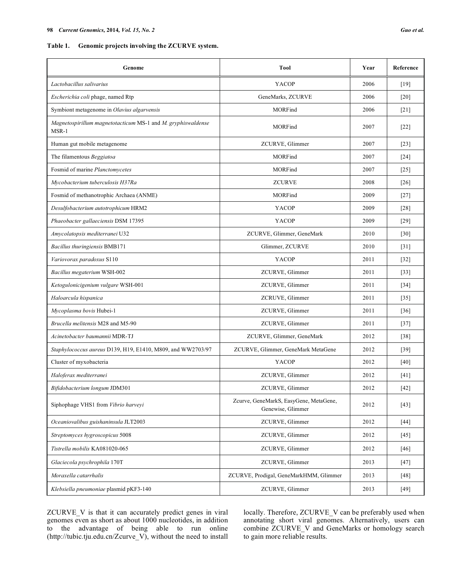**Table 1. Genomic projects involving the ZCURVE system.** 

| Genome                                                                | Tool                                                        | Year | Reference          |
|-----------------------------------------------------------------------|-------------------------------------------------------------|------|--------------------|
| Lactobacillus salivarius                                              | YACOP                                                       | 2006 | $[19]$             |
| Escherichia coli phage, named Rtp                                     | GeneMarks, ZCURVE                                           | 2006 | $[20]$             |
| Symbiont metagenome in Olavius algarvensis                            | MORFind                                                     | 2006 | $\lceil 21 \rceil$ |
| Magnetospirillum magnetotacticum MS-1 and M. gryphiswaldense<br>MSR-1 | MORFind                                                     | 2007 | $[22]$             |
| Human gut mobile metagenome                                           | ZCURVE, Glimmer                                             | 2007 | [23]               |
| The filamentous Beggiatoa                                             | MORFind                                                     | 2007 | $\lceil 24 \rceil$ |
| Fosmid of marine Planctomycetes                                       | MORFind                                                     | 2007 | $[25]$             |
| Mycobacterium tuberculosis H37Ra                                      | <b>ZCURVE</b>                                               | 2008 | $[26]$             |
| Fosmid of methanotrophic Archaea (ANME)                               | MORFind                                                     | 2009 | $[27]$             |
| Desulfobacterium autotrophicum HRM2                                   | YACOP                                                       | 2009 | $[28]$             |
| Phaeobacter gallaeciensis DSM 17395                                   | YACOP                                                       | 2009 | $[29]$             |
| Amycolatopsis mediterranei U32                                        | ZCURVE, Glimmer, GeneMark                                   | 2010 | [30]               |
| Bacillus thuringiensis BMB171                                         | Glimmer, ZCURVE                                             | 2010 | $\lceil 31 \rceil$ |
| Variovorax paradoxus S110                                             | YACOP                                                       | 2011 | $[32]$             |
| Bacillus megaterium WSH-002                                           | ZCURVE, Glimmer                                             | 2011 | $[33]$             |
| Ketogulonicigenium vulgare WSH-001                                    | ZCURVE, Glimmer                                             | 2011 | $[34]$             |
| Haloarcula hispanica                                                  | ZCRUVE, Glimmer                                             | 2011 | $[35]$             |
| Mycoplasma bovis Hubei-1                                              | ZCURVE, Glimmer                                             | 2011 | $[36]$             |
| Brucella melitensis M28 and M5-90                                     | ZCURVE, Glimmer                                             | 2011 | $[37]$             |
| Acinetobacter baumannii MDR-TJ                                        | ZCURVE, Glimmer, GeneMark                                   | 2012 | $[38]$             |
| Staphylococcus aureus D139, H19, E1410, M809, and WW2703/97           | ZCURVE, Glimmer, GeneMark MetaGene                          | 2012 | $[39]$             |
| Cluster of myxobacteria                                               | YACOP                                                       | 2012 | [40]               |
| Haloferax mediterranei                                                | ZCURVE, Glimmer                                             | 2012 | [41]               |
| Bifidobacterium longum JDM301                                         | ZCURVE, Glimmer                                             | 2012 | $[42]$             |
| Siphophage VHS1 from Vibrio harveyi                                   | Zcurve, GeneMarkS, EasyGene, MetaGene,<br>Genewise, Glimmer | 2012 | $[43]$             |
| Oceaniovalibus guishaninsula JLT2003                                  | ZCURVE, Glimmer                                             | 2012 | $[44]$             |
| Streptomyces hygroscopicus 5008                                       | ZCURVE, Glimmer                                             | 2012 | $[45]$             |
| Tistrella mobilis KA081020-065                                        | ZCURVE, Glimmer                                             | 2012 | [46]               |
| Glaciecola psychrophila 170T                                          | ZCURVE, Glimmer                                             | 2013 | $[47]$             |
| Moraxella catarrhalis                                                 | ZCURVE, Prodigal, GeneMarkHMM, Glimmer                      | 2013 | $[48]$             |
| Klebsiella pneumoniae plasmid pKF3-140                                | ZCURVE, Glimmer                                             | 2013 | $[49]$             |

ZCURVE\_V is that it can accurately predict genes in viral genomes even as short as about 1000 nucleotides, in addition to the advantage of being able to run online (http://tubic.tju.edu.cn/Zcurve\_V), without the need to install

locally. Therefore, ZCURVE\_V can be preferably used when annotating short viral genomes. Alternatively, users can combine ZCURVE\_V and GeneMarks or homology search to gain more reliable results.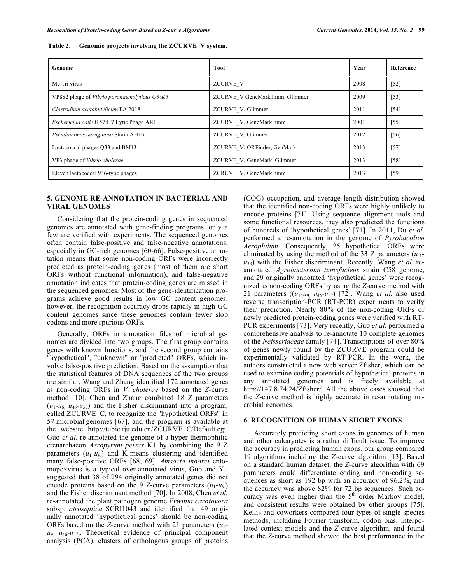| Genome                                       | Tool                           | Year | Reference |
|----------------------------------------------|--------------------------------|------|-----------|
| Me Tri virus                                 | <b>ZCURVE V</b>                | 2008 | $[52]$    |
| VP882 phage of Vibrio parahaemolyticus O3:K6 | ZCURVE V GeneMark.hmm, Glimmer | 2009 | [53]      |
| Clostridium acetobutylicum EA 2018           | ZCURVE V, Glimmer              | 2011 | $[54]$    |
| Escherichia coli O157:H7 Lytic Phage AR1     | ZCURVE V, GeneMark.hmm         | 2001 | $[55]$    |
| Pseudomonas aeruginosa Strain AH16           | ZCURVE V, Glimmer              | 2012 | $[56]$    |
| Lactococcal phages Q33 and BM13              | ZCURVE V, ORFinder, GenMark    | 2013 | $[57]$    |
| VP3 phage of Vibrio cholerae                 | ZCURVE V, GeneMark, Glimmer    | 2013 | $[58]$    |
| Eleven lactococcal 936-type phages           | ZCRUVE V, GeneMark.hmm         | 2013 | [59]      |

## **Table 2. Genomic projects involving the ZCURVE\_V system.**

#### **5. GENOME RE-ANNOTATION IN BACTERIAL AND VIRAL GENOMES**

 Considering that the protein-coding genes in sequenced genomes are annotated with gene-finding programs, only a few are verified with experiments. The sequenced genomes often contain false-positive and false-negative annotations, especially in GC-rich genomes [60-66]. False-positive annotation means that some non-coding ORFs were incorrectly predicted as protein-coding genes (most of them are short ORFs without functional information), and false-negative annotation indicates that protein-coding genes are missed in the sequenced genomes. Most of the gene-identification programs achieve good results in low GC content genomes, however, the recognition accuracy drops rapidly in high GC content genomes since these genomes contain fewer stop codons and more spurious ORFs.

 Generally, ORFs in annotation files of microbial genomes are divided into two groups. The first group contains genes with known functions, and the second group contains "hypothetical", "unknown" or "predicted" ORFs, which involve false-positive prediction. Based on the assumption that the statistical features of DNA sequences of the two groups are similar, Wang and Zhang identified 172 annotated genes as non-coding ORFs in *V. cholerae* based on the *Z*-curve method [10]. Chen and Zhang combined 18 Z parameters  $(u_1 - u_6, u_{46} - u_{57})$  and the Fisher discriminant into a program, called ZCURVE\_C, to recognize the "hypothetical ORFs" in 57 microbial genomes [67], and the program is available at the website http://tubic.tju.edu.cn/ZCURVE\_C/Default.cgi. Guo *et al.* re-annotated the genome of a hyper-thermophilic crenarchaeon *Aeropyrum pernix* K1 by combining the 9 Z parameters  $(u_1-u_9)$  and K-means clustering and identified many false-positive ORFs [68, 69]. *Amsacta moorei* entomopoxvirus is a typical over-annotated virus, Guo and Yu suggested that 38 of 294 originally annotated genes did not encode proteins based on the 9 *Z*-curve parameters  $(u_1-u_9)$ and the Fisher discriminant method [70]. In 2008, Chen *et al.* re-annotated the plant pathogen genome *Erwinia carotovora* subsp. *atroseptica* SCRI1043 and identified that 49 originally annotated 'hypothetical genes' should be non-coding ORFs based on the *Z*-curve method with 21 parameters (*u*1  $u_9$ ,  $u_{46}$ - $u_{57}$ . Theoretical evidence of principal component analysis (PCA), clusters of orthologous groups of proteins

(COG) occupation, and average length distribution showed that the identified non-coding ORFs were highly unlikely to encode proteins [71]. Using sequence alignment tools and some functional resources, they also predicted the functions of hundreds of 'hypothetical genes' [71]. In 2011, Du *et al.* performed a re-annotation in the genome of *Pyrobaculum Aerophilum*. Consequently, 25 hypothetical ORFs were eliminated by using the method of the 33 Z parameters  $(u_1$ *u*33) with the Fisher discriminant. Recently, Wang *et al.* reannotated *Agrobacterium tumefaciens* strain C58 genome, and 29 originally annotated 'hypothetical genes' were recognized as non-coding ORFs by using the *Z*-curve method with 21 parameters  $((u_1-u_9, u_{46}-u_{57})$  [72]. Wang *et al.* also used reverse transcription-PCR (RT-PCR) experiments to verify their prediction. Nearly 80% of the non-coding ORFs or newly predicted protein-coding genes were verified with RT-PCR experiments [73]. Very recently, Guo *et al.* performed a comprehensive analysis to re-annotate 10 complete genomes of the *Neisseriaceae* family [74]. Transcriptions of over 80% of genes newly found by the ZCURVE program could be experimentally validated by RT-PCR. In the work, the authors constructed a new web server Zfisher, which can be used to examine coding potentials of hypothetical proteins in any annotated genomes and is freely available at http://147.8.74.24/Zfisher/. All the above cases showed that the *Z*-curve method is highly accurate in re-annotating microbial genomes.

## **6. RECOGNITION OF HUMAN SHORT EXONS**

 Accurately predicting short exons in genomes of human and other eukaryotes is a rather difficult issue. To improve the accuracy in predicting human exons, our group compared 19 algorithms including the *Z*-curve algorithm [13]. Based on a standard human dataset, the *Z*-curve algorithm with 69 parameters could differentiate coding and non-coding sequences as short as 192 bp with an accuracy of 96.2%, and the accuracy was above 82% for 72 bp sequences. Such accuracy was even higher than the 5<sup>th</sup> order Markov model, and consistent results were obtained by other groups [75]. Kellis and coworkers compared four types of single species methods, including Fourier transform, codon bias, interpolated context models and the *Z*-curve algorithm, and found that the *Z*-curve method showed the best performance in the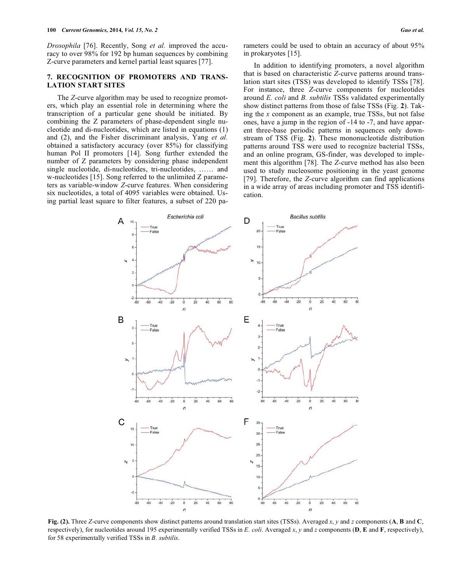*Drosophila* [76]. Recently, Song *et al.* improved the accuracy to over 98% for 192 bp human sequences by combining Z-curve parameters and kernel partial least squares [77].

## **7. RECOGNITION OF PROMOTERS AND TRANS-LATION START SITES**

 The *Z*-curve algorithm may be used to recognize promoters, which play an essential role in determining where the transcription of a particular gene should be initiated. By combining the Z parameters of phase-dependent single nucleotide and di-nucleotides, which are listed in equations (1) and (2), and the Fisher discriminant analysis, Yang *et al.* obtained a satisfactory accuracy (over 85%) for classifying human Pol II promoters [14]. Song further extended the number of Z parameters by considering phase independent single nucleotide, di-nucleotides, tri-nucleotides, …… and w-nucleotides [15]. Song referred to the unlimited Z parameters as variable-window *Z*-curve features. When considering six nucleotides, a total of 4095 variables were obtained. Using partial least square to filter features, a subset of 220 parameters could be used to obtain an accuracy of about 95% in prokaryotes [15].

 In addition to identifying promoters, a novel algorithm that is based on characteristic *Z*-curve patterns around translation start sites (TSS) was developed to identify TSSs [78]. For instance, three *Z*-curve components for nucleotides around *E. coli* and *B. subtilis* TSSs validated experimentally show distinct patterns from those of false TSSs (Fig. **2**). Taking the *x* component as an example, true TSSs, but not false ones, have a jump in the region of -14 to -7, and have apparent three-base periodic patterns in sequences only downstream of TSS (Fig. **2**). These mononucleotide distribution patterns around TSS were used to recognize bacterial TSSs, and an online program, GS-finder, was developed to implement this algorithm [78]. The *Z*-curve method has also been used to study nucleosome positioning in the yeast genome [79]. Therefore, the *Z*-curve algorithm can find applications in a wide array of areas including promoter and TSS identification.



**Fig. (2).** Three *Z*-curve components show distinct patterns around translation start sites (TSSs). Averaged *x*, *y* and *z* components (**A**, **B** and **C**, respectively), for nucleotides around 195 experimentally verified TSSs in *E. coli*. Averaged *x*, *y* and *z* components (**D**, **E** and **F**, respectively), for 58 experimentally verified TSSs in *B. subtilis*.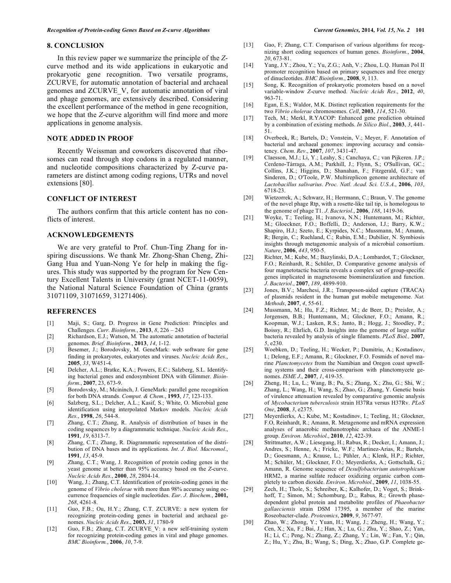#### **8. CONCLUSION**

 In this review paper we summarize the principle of the *Z*curve method and its wide applications in eukaryotic and prokaryotic gene recognition. Two versatile programs, ZCURVE, for automatic annotation of bacterial and archaeal genomes and ZCURVE\_V, for automatic annotation of viral and phage genomes, are extensively described. Considering the excellent performance of the method in gene recognition, we hope that the *Z*-curve algorithm will find more and more applications in genome analysis.

## **NOTE ADDED IN PROOF**

 Recently Weissman and coworkers discovered that ribosomes can read through stop codons in a regulated manner, and nucleotide compositions characterized by Z-curve parameters are distinct among coding regions, UTRs and novel extensions [80].

## **CONFLICT OF INTEREST**

 The authors confirm that this article content has no conflicts of interest.

#### **ACKNOWLEDGEMENTS**

 We are very grateful to Prof. Chun-Ting Zhang for inspiring discussions. We thank Mr. Zhong-Shan Cheng, Zhi-Gang Hua and Yuan-Nong Ye for help in making the figures. This study was supported by the program for New Century Excellent Talents in University (grant NCET-11-0059), the National Natural Science Foundation of China (grants 31071109, 31071659, 31271406).

#### **REFERENCES**

- [1] Maji, S.; Garg, D. Progress in Gene Prediction: Principles and Challenges. *Curr. Bioinform.*, **2013**, *8*, 226 – 243
- [2] Richardson, E.J.; Watson, M. The automatic annotation of bacterial genomes. *Brief. Bioinform.*, **2013**, *14*, 1-12.
- [3] Besemer, J.; Borodovsky, M. GeneMark: web software for gene finding in prokaryotes, eukaryotes and viruses. *Nucleic Acids Res*., **2005**, *33*, W451-4.
- [4] Delcher, A.L.; Bratke, K.A.; Powers, E.C.; Salzberg, S.L. Identifying bacterial genes and endosymbiont DNA with Glimmer. *Bioinform.*, **2007**, 23, 673-9.
- [5] Borodovsky, M.; Mcininch, J. GeneMark: parallel gene recognition for both DNA strands. *Comput. & Chem.*, **1993**, *17*, 123-133.
- [6] Salzberg, S.L.; Delcher, A.L.; Kasif, S.; White, O. Microbial gene identification using interpolated Markov models. *Nucleic Acids Res.*, **1998**, *26*, 544-8.
- [7] Zhang, C.T.; Zhang, R. Analysis of distribution of bases in the coding sequences by a diagrammatic technique. *Nucleic Acids Res*., **1991**, *19*, 6313-7.
- [8] Zhang, C.T.; Zhang, R. Diagrammatic representation of the distribution of DNA bases and its applications. *Int*. *J*. *Biol*. *Macromol*., **1991**, *13*, 45-9.
- [9] Zhang, C.T.; Wang, J. Recognition of protein coding genes in the yeast genome at better than 95% accuracy based on the *Z*-curve. *Nucleic Acids Res.*, **2000**, *28*, 2804-14.
- [10] Wang, J.; Zhang, C.T. Identification of protein-coding genes in the genome of *Vibrio cholerae* with more than 98% accuracy using occurrence frequencies of single nucleotides. *Eur*. *J*. *Biochem.*, **2001,**  *268*, 4261-8.
- [11] Guo, F.B.; Ou, H.Y.; Zhang, C.T. ZCURVE: a new system for recognizing protein-coding genes in bacterial and archaeal genomes. *Nucleic Acids Res*., **2003,** *31*, 1780-9
- [12] Guo, F.B.; Zhang, C.T. ZCURVE V: a new self-training system for recognizing protein-coding genes in viral and phage genomes. *BMC Bioinform.*, **2006**, *10*, 7-9.
- [13] Gao, F; Zhang, C.T. Comparison of various algorithms for recognizing short coding sequences of human genes. *Bioinform.*, **2004**, *20*, 673-81.
- [14] Yang, J.Y.; Zhou, Y.; Yu, Z.G.; Anh, V.; Zhou, L.Q. Human Pol II promoter recognition based on primary sequences and free energy of dinucleotides. *BMC Bioinform.*, **2008**, *9*, 113.
- [15] Song, K. Recognition of prokaryotic promoters based on a novel variable-window *Z*-curve method. *Nucleic Acids Res*., **2012**, *40*, 963-71.
- [16] Egan, E.S.; Waldor, M.K. Distinct replication requirements for the two *Vibrio cholerae* chromosomes. *Cell*, **2003**, *114*, 521-30.
- [17] Tech, M.; Merkl, R.YACOP: Enhanced gene prediction obtained by a combination of existing methods. *In Silico Biol*., **2003**, *3*, 441- 51.
- [18] Overbeek, R.; Bartels, D.; Vonstein, V.; Meyer, F. Annotation of bacterial and archaeal genomes: improving accuracy and consistency. *Chem*. *Rev*., **2007**, *107*, 3431-47.
- [19] Claesson, M.J.; Li, Y.; Leahy, S.; Canchaya, C.; van Pijkeren. J.P.; Cerdeno-Tárraga, A.M.; Parkhill, J.; Flynn, S.; O'Sullivan, GC.; Collins, J.K.; Higgins, D.; Shanahan, F.; Fitzgerald, G.F.; van Sinderen, D.; O'Toole, P.W. Multireplicon genome architecture of *Lactobacillus salivarius*. *Proc. Natl. Acad. Sci. U.S.A*., **2006**, *103*, 6718-23.
- [20] Wietzorrek, A.; Schwarz, H.; Herrmann, C.; Braun, V. The genome of the novel phage Rtp, with a rosette-like tail tip, is homologous to the genome of phage T1. *J*. *Bacteriol.*, **2006**, *188*, 1419-36.
- [21] Woyke, T.; Teeling, H.; Ivanova, N.N.; Huntemann, M.; Richter, M.; Gloeckner, F.O.; Boffelli, D.; Anderson, I.J.; Barry, K.W.; Shapiro, H.J.; Szeto, E.; Kyrpides, N.C.; Mussmann, M.; Amann, R; Bergin, C.; Ruehland, C.; Rubin, E.M.; Dubilier, N. Symbiosis insights through metagenomic analysis of a microbial consortium. *Nature*, **2006**, *443*, 950-5.
- [22] Richter, M.; Kube, M.; Bazylinski, D.A.; Lombardot, T.; Glockner, F.O.; Reinhardt, R.; Schüler, D. Comparative genome analysis of four magnetotactic bacteria reveals a complex set of group-specific genes implicated in magnetosome biomineralization and function. *J*. *Bacteriol*., **2007**, *189*, 4899-910.
- [23] Jones, B.V.; Marchesi, J.R.; Transposon-aided capture (TRACA) of plasmids resident in the human gut mobile metagenome. *Nat. Methods*, **2007**, *4*, 55-61.
- [24] Mussmann, M.; Hu, F.Z.; Richter, M.; de Beer, D.; Preisler, A.; Jorgensen, B.B.; Huntemann, M.; Glockner, F.O.; Amann, R.; Koopman, W.J.; Lasken, R.S.; Janto, B.; Hogg, J.; Stoodley, P.; Boissy, R.; Ehrlich, G.D. Insights into the genome of large sulfur bacteria revealed by analysis of single filaments. *PLoS Biol.,* **2007**, *5*, e230.
- [25] Woebken, D.; Teeling, H.; Wecker, P.; Dumitriu, A.; Kostadinov, I.; Delong, E.F.; Amann, R.; Glockner, F.O. Fosmids of novel marine *Planctomycetes* from the Namibian and Oregon coast upwelling systems and their cross-comparison with planctomycete genomes. *ISME J*., **2007**, *1*, 419-35.
- [26] Zheng, H.; Lu, L.; Wang, B.; Pu, S.; Zhang, X.; Zhu, G.; Shi, W.; Zhang, L.; Wang, H.; Wang, S.; Zhao, G.; Zhang, Y. Genetic basis of virulence attenuation revealed by comparative genomic analysis of *Mycobacterium tuberculosis* strain H37Ra versus H37Rv. *PLoS One*, **2008**, *3*, e2375.
- [27] Meyerdierks, A.; Kube, M.; Kostadinov, I.; Teeling, H.; Glockner, F.O, Reinhardt, R.; Amann, R. Metagenome and mRNA expression analyses of anaerobic methanotrophic archaea of the ANME-1 group. *Environ*. *Microbiol*., **2010**, *12*, 422-39.
- [28] Strittmatter, A.W.; Liesegang, H.; Rabus, R.; Decker, I.; Amann, J.; Andres, S.; Henne, A.; Fricke, W.F.; Martinez-Arias, R.; Bartels, D.; Goesmann, A.; Krause, L.; Pühler, A.; Klenk, H.P.; Richter, M.; Schüler, M.; Glockner, F.O.; Meyerdierks, A.; Gottschalk, G.; Amann, R. Genome sequence of *Desulfobacterium autotrophicum* HRM2, a marine sulfate reducer oxidizing organic carbon completely to carbon dioxide. *Environ*. *Microbiol.*, **2009**, *11*, 1038-55.
- [29] Zech, H.; Thole, S.; Schreiber, K.; Kalhofer, D.; Voget, S.; Brinkhoff, T.; Simon, M.; Schomburg, D.;, Rabus, R.; Growth phasedependent global protein and metabolite profiles of *Phaeobacter gallaeciensis* strain DSM 17395, a member of the marine Roseobacter-clade. *Proteomics*, **2009**, *9*, 3677-97.
- [30] Zhao, W.; Zhong, Y.; Yuan, H.; Wang, J.; Zheng, H.; Wang, Y.; Cen, X.; Xu, F.; Bai, J.; Han, X.; Lu, G.; Zhu, Y.; Shao, Z.; Yan, H.; Li, C.; Peng, N.; Zhang, Z.; Zhang, Y.; Lin, W.; Fan, Y.; Qin, Z.; Hu, Y.; Zhu, B.; Wang, S.; Ding, X.; Zhao, G.P. Complete ge-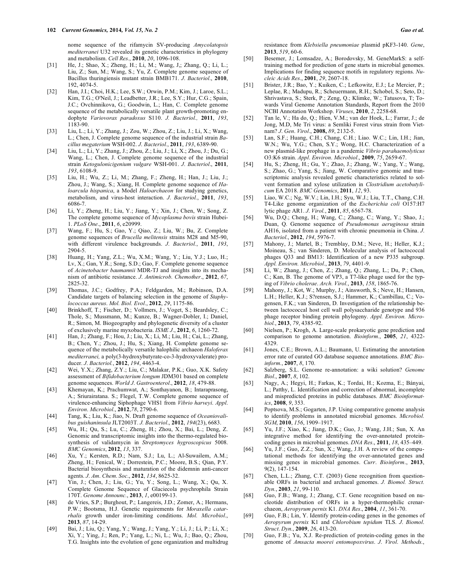nome sequence of the rifamycin SV-producing *Amycolatopsis mediterranei* U32 revealed its genetic characteristics in phylogeny and metabolism. *Cell Res.*, **2010**, *20*, 1096-108.

- [31] He, J.; Shao, X.; Zheng, H.; Li, M.; Wang, J,; Zhang, Q.; Li, L.; Liu, Z.; Sun, M.; Wang, S.; Yu, Z. Complete genome sequence of Bacillus thuringiensis mutant strain BMB171. *J*. *Bacteriol*., **2010**, 192, 4074-5.
- [32] Han, J.I.; Choi, H.K.; Lee, S.W.; Orwin, P.M.; Kim, J.; Laroe, S.L.; Kim, T.G.; O'Neil, J.; Leadbetter, J.R.; Lee, S.Y.; Hur, C.G.; Spain, J.C.; Ovchinnikova, G.; Goodwin, L.; Han, C. Complete genome sequence of the metabolically versatile plant growth-promoting endophyte *Variovorax paradoxus* S110. *J. Bacteriol.,* **2011**, *193*, 1183-90.
- [33] Liu, L.; Li, Y.; Zhang, J.; Zou, W.; Zhou, Z.; Liu, J.; Li, X.; Wang, L.; Chen, J. Complete genome sequence of the industrial strain *Bacillus megaterium* WSH-002. *J*. *Bacteriol.*, **2011**, *193*, 6389-90.
- [34] Liu, L.; Li, Y.; Zhang, J.; Zhou, Z.; Liu, J.; Li, X.; Zhou, J.; Du, G.; Wang, L.; Chen, J. Complete genome sequence of the industrial strain *Ketogulonicigenium vulgare* WSH-001. *J*. *Bacteriol*., **2011**, *193*, 6108-9.
- [35] Liu, H.; Wu, Z.; Li, M.; Zhang, F.; Zheng, H.; Han, J.; Liu, J.; Zhou, J.; Wang, S.; Xiang, H. Complete genome sequence of *Haloarcula hispanica*, a Model *Haloarchaeon* for studying genetics, metabolism, and virus-host interaction. *J*. *Bacteriol.*, **2011**, *193*, 6086-7.
- [36] Li, Y.; Zheng, H.; Liu, Y.; Jiang, Y.; Xin, J.; Chen, W.; Song, Z. The complete genome sequence of *Mycoplasma bovis* strain Hubei-1. *PLoS One*., **2011**, *6*, e20999.
- [37] Wang, F.; Hu, S.; Gao, Y.; Qiao, Z.; Liu, W.; Bu, Z. Complete genome sequences of *Brucella melitensis* strains M28 and M5-90, with different virulence backgrounds. *J*. *Bacteriol.*, **2011**, *193*, 2904-5.
- [38] Huang, H.; Yang, Z.L.; Wu, X.M.; Wang, Y.; Liu, Y.J.; Luo, H.; Lv, X.; Gan, Y.R.; Song, S.D.; Gao, F. Complete genome sequence of *Acinetobacter baumannii* MDR-TJ and insights into its mechanism of antibiotic resistance. *J*. *Antimicrob. Chemother*., **2012**, *67*, 2825-32.
- [39] Thomas, J.C.; Godfrey, P.A.; Feldgarden, M.; Robinson, D.A. Candidate targets of balancing selection in the genome of *Staphylococcus aureus*. *Mol. Biol. Evol*., **2012**, *29*, 1175-86.
- [40] Brinkhoff, T.; Fischer, D.; Vollmers, J.; Voget, S.; Beardsley, C.; Thole, S.; Mussmann, M.; Kunze, B.; Wagner-Dobler, I.; Daniel, R.; Simon, M. Biogeography and phylogenetic diversity of a cluster of exclusively marine myxobacteria. *ISME J*., **2012**, *6*, 1260-72.
- [41] Han, J.; Zhang, F.; Hou, J.; Liu, X.; Li, M.; Liu, H.; Cai, L.; Zhang, B.; Chen, Y.; Zhou, J.; Hu, S.; Xiang, H. Complete genome sequence of the metabolically versatile halophilic archaeon *Haloferax mediterranei,* a poly(3-hydroxybutyrate-co-3-hydroxyvalerate) producer. *J*. *Bacteriol.*, **2012**, *194*, 4463-4.
- [42] Wei, Y.X.; Zhang, Z.Y.; Liu, C.; Malakar, P.K.; Guo, X.K. Safety assessment of *Bifidobacterium longum* JDM301 based on complete genome sequences. *World J*. *Gastroenterol*., **2012**, *18*, 479-88.
- [43] Khemayan, K.; Prachumwat, A.; Sonthayanon, B.; Intaraprasong, A.; Sriurairatana. S.; Flegel, T.W. Complete genome sequence of virulence-enhancing Siphophage VHS1 from *Vibrio harveyi*. *Appl*. *Environ*. *Microbiol*., **2012**,*78*, 2790-6.
- [44] Tang, K.; Liu, K.; Jiao, N. Draft genome sequence of *Oceaniovalibus guishaninsula* JLT2003T. *J. Bacteriol*., **2012**, *194*(23), 6683.
- [45] Wu, H.; Qu, S.; Lu, C.; Zheng, H.; Zhou, X.; Bai, L.; Deng, Z. Genomic and transcriptomic insights into the thermo-regulated biosynthesis of validamycin in *Streptomyces hygroscopicus* 5008. *BMC Genomics*, **2012**, *13*, 337.
- [46] Xu, Y.; Kersten, R.D.; Nam, S.J.; Lu, L.; Al-Suwailem, A.M.; Zheng, H.; Fenical, W.; Dorrestein, P.C.; Moore, B.S.; Qian, P.Y. Bacterial biosynthesis and maturation of the didemnin anti-cancer agents. *J*. *Am*. *Chem*. *Soc*., **2012**, *134*, 8625-32.
- [47] Yin, J.; Chen, J.; Liu, G.; Yu, Y.; Song, L.; Wang, X.; Qu, X. Complete Genome Sequence of Glaciecola psychrophila Strain 170T. *Genome Announc.*, **2013**, *1*, e00199-13.
- [48] de Vries, S.P.; Burghout, P.; Langereis, J.D.; Zomer, A.; Hermans, P.W.; Bootsma, H.J. Genetic requirements for *Moraxella catarrhalis* growth under iron-limiting conditions. *Mol. Microbiol*., **2013**, *87*, 14-29.
- [49] Bai, J.; Liu, Q.; Yang, Y.; Wang, J.; Yang, Y.; Li, J.; Li, P.; Li, X.; Xi, Y.; Ying, J.; Ren, P.; Yang, L.; Ni, L.; Wu, J.; Bao, Q.; Zhou, T.G. Insights into the evolution of gene organization and multidrug

resistance from *Klebsiella pneumoniae* plasmid pKF3-140. *Gene*, **2013**, *519*, 60-6.

- [50] Besemer, J.; Lomsadze, A.; Borodovsky, M. GeneMarkS: a selftraining method for prediction of gene starts in microbial genomes. Implications for finding sequence motifs in regulatory regions. *Nucleic Acids Res*., **2001**, *29*, 2607-18.
- [51] Brister, J.R.; Bao, Y.; Kuiken, C.; Lefkowitz, E.J.; Le Mercier, P.; Leplae, R.; Madupu, R.; Scheuermann, R.H.; Schobel, S.; Seto, D.; Shrivastava, S.; Sterk, P.; Zeng, Q.; Klimke, W.; Tatusova, T; Towards Viral Genome Annotation Standards, Report from the 2010 NCBI Annotation Workshop. *Viruses*, **2010**, *2*, 2258-68.
- [52] Tan le, V.; Ha do, Q.; Hien, V.M.; van der Hoek, L.; Farrar, J.; de Jong, M.D, Me Tri virus: a Semliki Forest virus strain from Vietnam? *J*. *Gen*. *Virol*., **2008,** *89*, 2132-5.
- [53] Lan, S.F.; Huang, C.H.; Chang, C.H.; Liao. W.C.; Lin, I.H.; Jian, W.N.; Wu, Y.G.; Chen, S.Y.; Wong, H.C. Characterization of a new plasmid-like prophage in a pandemic *Vibrio parahaemolyticus* O3:K6 strain. *Appl*. *Environ*. *Microbiol*., **2009**, *75*, 2659-67.
- [54] Hu, S.; Zheng, H.; Gu, Y.; Zhao, J.; Zhang, W.; Yang, Y.; Wang, S.; Zhao, G.; Yang, S.; Jiang, W. Comparative genomic and transcriptomic analysis revealed genetic characteristics related to solvent formation and xylose utilization in *Clostridium acetobutylicum* EA 2018. *BMC Genomics*, **2011**, *12*, 93.
- [55] Liao, W.C.; Ng, W.V.; Lin, I.H.; Syu, W.J.; Liu, T.T., Chang, C.H. T4-Like genome organization of the *Escherichia coli* O157:H7 lytic phage AR1. *J*. *Virol.*, **2011**, *85*, 6567-78.
- [56] Wu, D.Q.; Cheng, H.; Wang, C.; Zhang, C.; Wang, Y.; Shao, J.; Duan, Q. Genome sequence of *Pseudomonas aeruginosa* strain AH16, isolated from a patient with chronic pneumonia in China. *J*. *Bacteriol*., **2012**, *194*, 5976-7.
- [57] Mahony, J.; Martel, B.; Tremblay, D.M.; Neve, H.; Heller, K.J.; Moineau, S.; van Sinderen, D. Molecular analysis of lactococcal phages Q33 and BM13: Identification of a new P335 subgroup. *Appl. Environ. Microbiol*., **2013**, *79*, 4401-9.
- [58] Li, W.; Zhang, J.; Chen, Z.; Zhang, Q.; Zhang, L.; Du, P.; Chen, C.; Kan, B. The genome of VP3, a T7-like phage used for the typing of *Vibrio cholerae*. *Arch. Virol.*, **2013**, *158*, 1865-76.
- [59] Mahony, J.; Kot, W.; Murphy, J.; Ainsworth, S.; Neve, H.; Hansen, L.H.; Heller, K.J.; S?rensen, S.J.; Hammer, K.; Cambillau, C.; Vogensen, F.K.; van Sinderen, D. Investigation of the relationship between lactococcal host cell wall polysaccharide genotype and 936 phage receptor binding protein phylogeny. *Appl. Environ. Microbiol.*, **2013**, *79*, 4385-92.
- [60] Nielsen, P.; Krogh, A. Large-scale prokaryotic gene prediction and comparison to genome annotation. *Bioinform.*, **2005**, *21*, 4322- 4329.
- [61] Jones, C.E.; Brown, A.L.; Baumann, U. Estimating the annotation error rate of curated GO database sequence annotations. *BMC Bioinform.*, **2007**, *8*, 170.
- [62] Salzberg, S.L. Genome re-annotation: a wiki solution? *Genome Biol*., **2007**, *8*, 102.
- [63] Nagy, A.; Hegyi, H.; Farkas, K.; Tordai, H.; Kozma, E.; Bányai, L.; Patthy, L. Identification and correction of abnormal, incomplete and mispredicted proteins in public databases. *BMC Bioinformatics*, **2008**, *9*, 353.
- [64] Poptsova, M.S.; Gogarten, J.P. Using comparative genome analysis to identify problems in annotated microbial genomes. *Microbiol. SGM*, **2010**, *156*, 1909–1917.
- [65] Yu, J.F.; Xiao, K.; Jiang, D.K.; Guo, J.; Wang, J.H.; Sun, X. An integrative method for identifying the over-annotated proteincoding genes in microbial genomes. *DNA Res*., **2011**, *18*, 435–449.
- [66] Yu, J.F.; Guo, Z.Z.; Sun, X.; Wang, J.H. A review of the computational methods for identifying the over-annotated genes and missing genes in microbial genomes. *Curr*. *Bioinform*., **2013**, 9(2), 147-154.
- [67] Chen, L.L.; Zhang, C.T. (2003) Gene recognition from questionable ORFs in bacterial and archaeal genomes. *J. Biomol. Struct. Dyn.*, **2003**, *21*, 99-110.
- [68] Guo, F.B.; Wang, J.; Zhang, C.T. Gene recognition based on nucleotide distribution of ORFs in a hyper-thermophilic crenarchaeon, *Aeropyrum pernix* K1. *DNA Res*., **2004**, *11*, 361-70.
- [69] Guo, F.B.; Lin, Y. Identify protein-coding genes in the genomes of *Aeropyrum pernix* K1 and *Chlorobium tepidum* TLS. *J*. *Biomol*. *Struct*. *Dyn.*, **2009**, *26*, 413-20.
- [70] Guo, F.B.; Yu, X.J. Re-prediction of protein-coding genes in the genome of *Amsacta moorei entomopoxvirus*. *J*. *Virol*. *Methods.*,